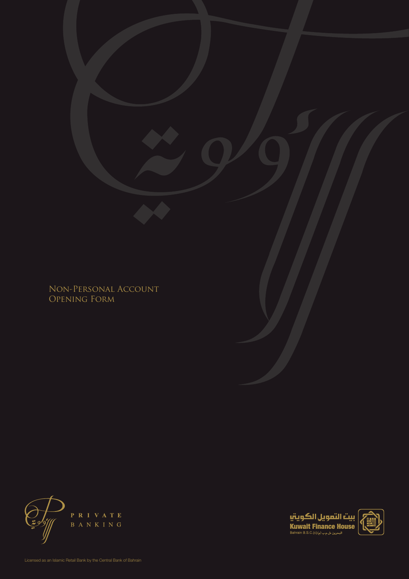Non-Personal Account Opening Form



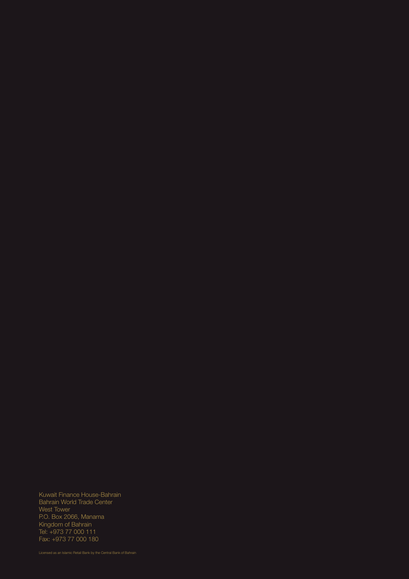Kuwait Finance House-Bahrain Bahrain World Trade Center West Tower P.O. Box 2066, Manama Kingdom of Bahrain Tel: +973 77 000 111 Fax: +973 77 000 180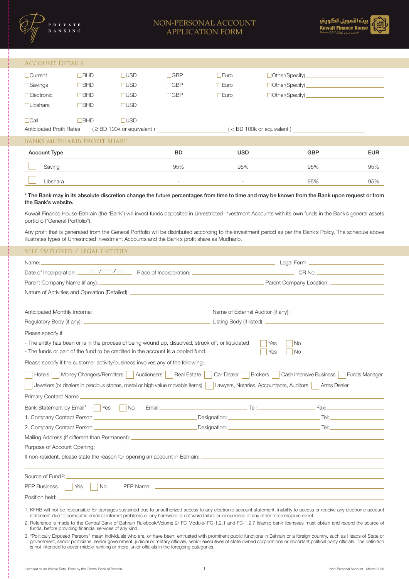

## NON-PERSONAL ACCOUNT APPLICATION FORM



#### Account Details

| TUCCOTTI DEIITED                                                     |             |             |            |                                                        |                  |
|----------------------------------------------------------------------|-------------|-------------|------------|--------------------------------------------------------|------------------|
| $\Box$ Current                                                       | <b>BHD</b>  | <b>JUSD</b> | <b>GBP</b> | $I_{\text{Euro}}$                                      | Other(Specify)   |
| $\Box$ Savings                                                       | ⊒BHD        | <b>TUSD</b> | $\Box$ GBP | $\Box$ Euro                                            | □ Other(Specify) |
| $\Box$ Electronic                                                    | ∃BHD        | ∃USD        | $\Box$ GBP | $\exists$ Euro                                         | Other(Specify)   |
| $\Box$ Libshara                                                      | $\Box$ BHD  | <b>JUSD</b> |            |                                                        |                  |
|                                                                      |             |             |            |                                                        |                  |
| $\Box$ Call                                                          | <b>TBHD</b> | <b>_USD</b> |            |                                                        |                  |
| $($ $\geq$ BD 100k or equivalent)<br><b>Anticipated Profit Rates</b> |             |             |            | <bd 100k="" equivalent)<="" or="" td=""><td></td></bd> |                  |

banks mudharib profit share Account Type BD USD GBP EUR Saving 95% 95% 95% 95% Libshara - - 95% 95%

\* The Bank may in its absolute discretion change the future percentages from time to time and may be known from the Bank upon request or from the Bank's website.

Kuwait Finance House-Bahrain (the 'Bank') will invest funds deposited in Unrestricted Investment Accounts with its own funds in the Bank's general assets portfolio ("General Portfolio").

Any profit that is generated from the General Portfolio will be distributed according to the investment period as per the Bank's Policy. The schedule above illustrates types of Unrestricted Investment Accounts and the Bank's profit share as Mudharib.

# self employed / legal entities Name: Legal Form: Legal Form: Legal Form: Legal Form: Legal Form: Legal Form: Legal Form: Legal Form: Legal Form: Legal Form: Legal Form: Legal Form: Legal Form: Legal Form: Legal Form: Legal Form: Legal Form: Legal Form: CR No. Anticipated Monthly Income: Contract Decision Contract Decision Name of External Auditor (if any): Please specify if  $Yes$   $\neg$  No  $Yes \Box No$ - The entity has been or is in the process of being wound up, dissolved, struck off, or liquidated - The funds or part of the fund to be credited in the account is a pooled fund. Date of Incorporation  $\frac{dd /mm /yy}{mg}$  Place of Incorporation: Parent Company Name (if any): Parent Company Location: Nature of Activities and Operation (Detailed): Regulatory Body (if any): Listing Body (if listed): Please specify if the customer activity/business involves any of the following: Jewelers (or dealers in precious stones, metal or high value movable items) | Lawyers, Notaries, Accountants, Auditors | Arms Dealer Hotels Money Changers/Remitters Auctioneers Real Estate Car Dealer Brokers Cash Intensive Business Funds Manager Primary Contact Name Bank Statement by Email1 Yes No Email: Tel: Fax: Mailing Address (If different than Permanent): Purpose of Account Opening: If non-resident, please state the reason for opening an account in Bahrain: Source of Fund<sup>2</sup>: PEP Business Yes No PEP Name: Position held: 1. Company Contact Person: Designation: Tel: 2. Company Contact Person: Designation: Designation: Designation: Tel: Designation: Designation: Designation: 1. KFHB will not be responsible for damages sustained due to unauthorized access to any electronic account statement, inability to access or receive any electronic account statement due to computer, email or internet problems or any hardware or software failure or occurrence of any other force majeure event. 2. Reference is made to the Central Bank of Bahrain Rulebook/Volume 2/ FC Module/ FC-1.2.1 and FC-1.2.7 Islamic bank licensees must obtain and record the source of

funds, before providing financial services of any kind.

3. "Politically Exposed Persons" mean individuals who are, or have been, entrusted with prominent public functions in Bahrain or a foreign country, such as Heads of State or government, senior politicians, senior government, judicial or military officials, senior executives of state owned corporations or important political party officials. The definition is not intended to cover middle-ranking or more junior officials in the foregoing categories.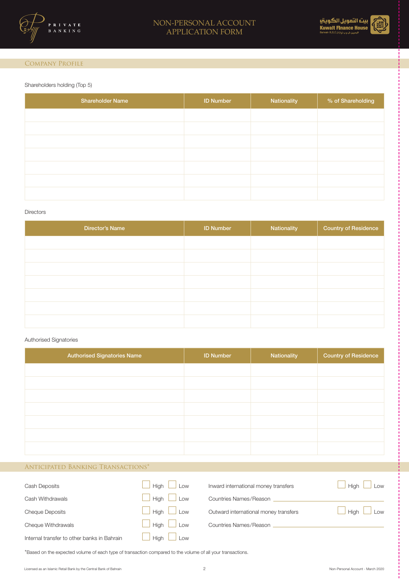



### Company Profile

#### Shareholders holding (Top 5)

| <b>Shareholder Name</b> | <b>ID Number</b> | Nationality | % of Shareholding |
|-------------------------|------------------|-------------|-------------------|
|                         |                  |             |                   |
|                         |                  |             |                   |
|                         |                  |             |                   |
|                         |                  |             |                   |
|                         |                  |             |                   |
|                         |                  |             |                   |
|                         |                  |             |                   |

#### **Directors**

| Director's Name | <b>ID Number</b> | Nationality | <b>Country of Residence</b> |
|-----------------|------------------|-------------|-----------------------------|
|                 |                  |             |                             |
|                 |                  |             |                             |
|                 |                  |             |                             |
|                 |                  |             |                             |
|                 |                  |             |                             |
|                 |                  |             |                             |
|                 |                  |             |                             |

#### Authorised Signatories

| <b>Authorised Signatories Name</b> | <b>ID Number</b> | Nationality | <b>Country of Residence</b> |
|------------------------------------|------------------|-------------|-----------------------------|
|                                    |                  |             |                             |
|                                    |                  |             |                             |
|                                    |                  |             |                             |
|                                    |                  |             |                             |
|                                    |                  |             |                             |
|                                    |                  |             |                             |
|                                    |                  |             |                             |

## Anticipated Banking Transactions\*

| <b>Cash Deposits</b>                        | Hiah<br>Low        | Inward international money transfers  | <b>High</b><br>Low |
|---------------------------------------------|--------------------|---------------------------------------|--------------------|
| Cash Withdrawals                            | <b>High</b><br>Low | Countries Names/Reason                |                    |
| <b>Cheque Deposits</b>                      | Hiah<br>Low        | Outward international money transfers | <b>High</b><br>Low |
| Cheque Withdrawals                          | Hiah<br>Low        | Countries Names/Reason                |                    |
| Internal transfer to other banks in Bahrain | <b>High</b><br>Low |                                       |                    |

\*Based on the expected volume of each type of transaction compared to the volume of all your transactions.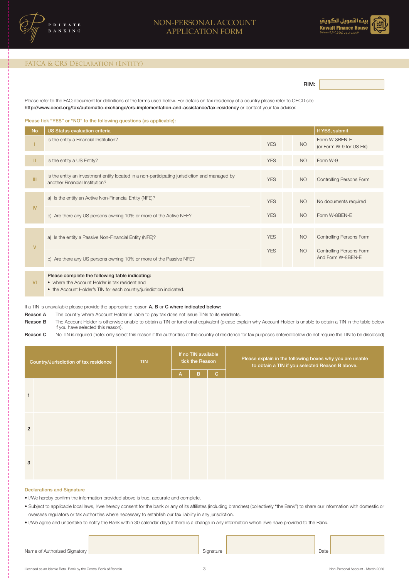



#### FATCA & CRS Declaration (Entity)

RIM:

Please refer to the FAQ document for definitions of the terms used below. For details on tax residency of a country please refer to OECD site http://www.oecd.org/tax/automatic-exchange/crs-implementation-and-assistance/tax-residency or contact your tax advisor.

Please tick "YES" or "NO" to the following questions (as applicable):

| <b>No</b>     | <b>US Status evaluation criteria</b>                                                                                                                                     |            |           | If YES, submit                                |
|---------------|--------------------------------------------------------------------------------------------------------------------------------------------------------------------------|------------|-----------|-----------------------------------------------|
|               | Is the entity a Financial Institution?                                                                                                                                   | <b>YES</b> | <b>NO</b> | Form W-8BEN-E<br>(or Form W-9 for US Fls)     |
| $\mathbf{II}$ | Is the entity a US Entity?                                                                                                                                               | <b>YES</b> | <b>NO</b> | Form W-9                                      |
| III           | Is the entity an investment entity located in a non-participating jurisdiction and managed by<br>another Financial Institution?                                          | <b>YES</b> | <b>NO</b> | <b>Controlling Persons Form</b>               |
|               | a) Is the entity an Active Non-Financial Entity (NFE)?                                                                                                                   | <b>YES</b> | <b>NO</b> | No documents required                         |
| IV.           | b) Are there any US persons owning 10% or more of the Active NFE?                                                                                                        | <b>YES</b> | <b>NO</b> | Form W-8BEN-E                                 |
| $\mathsf{V}$  | a) Is the entity a Passive Non-Financial Entity (NFE)?                                                                                                                   | <b>YES</b> | <b>NO</b> | Controlling Persons Form                      |
|               | b) Are there any US persons owning 10% or more of the Passive NFE?                                                                                                       | <b>YES</b> | <b>NO</b> | Controlling Persons Form<br>And Form W-8BEN-E |
| <b>VI</b>     | Please complete the following table indicating:<br>• where the Account Holder is tax resident and<br>• the Account Holder's TIN for each country/jurisdiction indicated. |            |           |                                               |

If a TIN is unavailable please provide the appropriate reason A, B or C where indicated below:

Reason A The country where Account Holder is liable to pay tax does not issue TINs to its residents.

Reason B The Account Holder is otherwise unable to obtain a TIN or functional equivalent (please explain why Account Holder is unable to obtain a TIN in the table below if you have selected this reason).

Reason C No TIN is required (note: only select this reason if the authorities of the country of residence for tax purposes entered below do not require the TIN to be disclosed)

|                | Country/Jurisdiction of tax residence | <b>TIN</b> |                | If no TIN available<br>tick the Reason |              | Please explain in the following boxes why you are unable<br>to obtain a TIN if you selected Reason B above. |
|----------------|---------------------------------------|------------|----------------|----------------------------------------|--------------|-------------------------------------------------------------------------------------------------------------|
|                |                                       |            | $\overline{A}$ | B                                      | $\mathbf{C}$ |                                                                                                             |
| $\mathbf{1}$   |                                       |            |                |                                        |              |                                                                                                             |
| $\overline{2}$ |                                       |            |                |                                        |              |                                                                                                             |
| 3              |                                       |            |                |                                        |              |                                                                                                             |

#### Declarations and Signature

• I/We hereby confirm the information provided above is true, accurate and complete.

• Subject to applicable local laws, I/we hereby consent for the bank or any of its affiliates (including branches) (collectively "the Bank") to share our information with domestic or overseas regulators or tax authorities where necessary to establish our tax liability in any jurisdiction.

• I/We agree and undertake to notify the Bank within 30 calendar days if there is a change in any information which I/we have provided to the Bank.

Name of Authorized Signatory **Signature Contract of Authorized Signature** Date

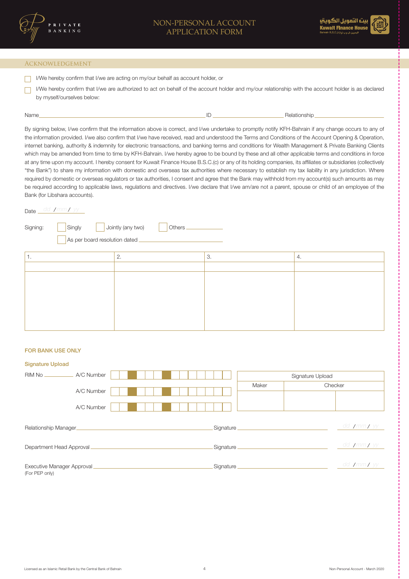

#### Acknowledgement

- I/We hereby confirm that I/we are acting on my/our behalf as account holder, or
- $\Box$ I/We hereby confirm that I/we are authorized to act on behalf of the account holder and my/our relationship with the account holder is as declared by myself/ourselves below:

| . | Name |  | kelationship |
|---|------|--|--------------|
|---|------|--|--------------|

By signing below, I/we confirm that the information above is correct, and I/we undertake to promptly notify KFH-Bahrain if any change occurs to any of the information provided. I/we also confirm that I/we have received, read and understood the Terms and Conditions of the Account Opening & Operation, internet banking, authority & indemnity for electronic transactions, and banking terms and conditions for Wealth Management & Private Banking Clients which may be amended from time to time by KFH-Bahrain. I/we hereby agree to be bound by these and all other applicable terms and conditions in force at any time upon my account. I hereby consent for Kuwait Finance House B.S.C.(c) or any of its holding companies, its affiliates or subsidiaries (collectively "the Bank") to share my information with domestic and overseas tax authorities where necessary to establish my tax liability in any jurisdiction. Where required by domestic or overseas regulators or tax authorities, I consent and agree that the Bank may withhold from my account(s) such amounts as may be required according to applicable laws, regulations and directives. I/we declare that I/we am/are not a parent, spouse or child of an employee of the Bank (for Libshara accounts).

## Date *dd / mm / yy*

| Signing: | Singly<br>As per board resolution dated | $\vert$ Jointly (any two)<br>Others. |    |    |
|----------|-----------------------------------------|--------------------------------------|----|----|
| . .      |                                         | Ζ.                                   | 3. | 4. |
|          |                                         |                                      |    |    |
|          |                                         |                                      |    |    |

### FOR BANK USE ONLY

| <b>Signature Upload</b>                       |                                          |
|-----------------------------------------------|------------------------------------------|
| A/C Number<br>RIM No                          | Signature Upload                         |
| A/C Number                                    | Maker<br>Checker                         |
| A/C Number                                    |                                          |
| Relationship Manager                          | dd <b>/</b> mm <b>/</b> yy<br>Signature_ |
| Department Head Approval                      | dd <b>/mm/</b> yy<br>Signature.          |
| Executive Manager Approval.<br>(For PEP only) | dd <b>/mm/</b> yy<br>Signature           |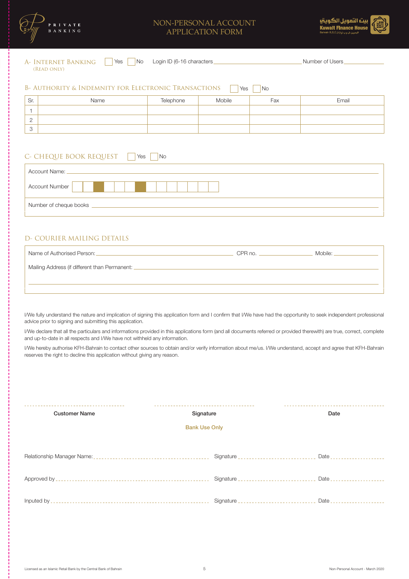

### NON-PERSONAL ACCOUNT APPLICATION FORM



| A- INTERNET BANKING<br>Yes<br>Login ID (6-16 characters<br>No<br>Number of Users |                                                                 |           |        |                |       |
|----------------------------------------------------------------------------------|-----------------------------------------------------------------|-----------|--------|----------------|-------|
|                                                                                  | (READ ONLY)                                                     |           |        |                |       |
|                                                                                  |                                                                 |           |        |                |       |
|                                                                                  | <b>B- AUTHORITY &amp; INDEMNITY FOR ELECTRONIC TRANSACTIONS</b> |           | Yes    | N <sub>o</sub> |       |
|                                                                                  |                                                                 |           |        |                |       |
| Sr.                                                                              | Name                                                            | Telephone | Mobile | Fax            | Email |
|                                                                                  |                                                                 |           |        |                |       |
| $\overline{2}$                                                                   |                                                                 |           |        |                |       |
|                                                                                  |                                                                 |           |        |                |       |
| 3                                                                                |                                                                 |           |        |                |       |

## C- CHEQUE BOOK REQUEST Yes No

| Account Name: _        |
|------------------------|
| Account Number         |
| Number of cheque books |

### D- COURIER MAILING DETAILS

| Name of Authorised Person:                      | CPR no. $-$ | Mobile: |
|-------------------------------------------------|-------------|---------|
| Mailing Address (if different than Permanent: _ |             |         |
|                                                 |             |         |
|                                                 |             |         |

I/We fully understand the nature and implication of signing this application form and I confirm that I/We have had the opportunity to seek independent professional advice prior to signing and submitting this application.

I/We declare that all the particulars and informations provided in this applications form (and all documents referred or provided therewith) are true, correct, complete and up-to-date in all respects and I/We have not withheld any information.

I/We hereby authorise KFH-Bahrain to contact other sources to obtain and/or verify information about me/us. I/We understand, accept and agree that KFH-Bahrain reserves the right to decline this application without giving any reason.

| <b>Customer Name</b> | Signature                               | Date                             |
|----------------------|-----------------------------------------|----------------------------------|
|                      | <b>Bank Use Only</b>                    |                                  |
|                      |                                         |                                  |
|                      | Signature _____________________________ | Date _ _ _ _ _ _ _ _ _ _ _ _ _ _ |
|                      | Signature _________________________     | Date                             |
|                      | Signature ____________________________  | Date                             |